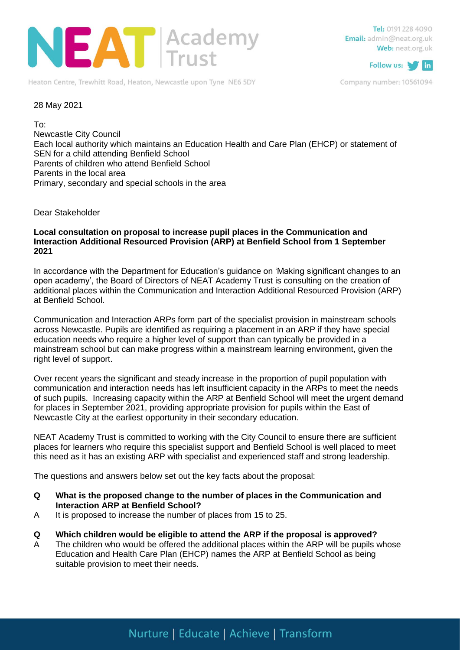

Heaton Centre, Trewhitt Road, Heaton, Newcastle upon Tyne NE6 5DY

Tel: 0191 228 4090 Email: admin@neat.org.uk Web: neat.org.uk



Company number: 10561094

### 28 May 2021

To:

Newcastle City Council Each local authority which maintains an Education Health and Care Plan (EHCP) or statement of SEN for a child attending Benfield School Parents of children who attend Benfield School Parents in the local area Primary, secondary and special schools in the area

Dear Stakeholder

### **Local consultation on proposal to increase pupil places in the Communication and Interaction Additional Resourced Provision (ARP) at Benfield School from 1 September 2021**

In accordance with the Department for Education's guidance on 'Making significant changes to an open academy', the Board of Directors of NEAT Academy Trust is consulting on the creation of additional places within the Communication and Interaction Additional Resourced Provision (ARP) at Benfield School.

Communication and Interaction ARPs form part of the specialist provision in mainstream schools across Newcastle. Pupils are identified as requiring a placement in an ARP if they have special education needs who require a higher level of support than can typically be provided in a mainstream school but can make progress within a mainstream learning environment, given the right level of support.

Over recent years the significant and steady increase in the proportion of pupil population with communication and interaction needs has left insufficient capacity in the ARPs to meet the needs of such pupils. Increasing capacity within the ARP at Benfield School will meet the urgent demand for places in September 2021, providing appropriate provision for pupils within the East of Newcastle City at the earliest opportunity in their secondary education.

NEAT Academy Trust is committed to working with the City Council to ensure there are sufficient places for learners who require this specialist support and Benfield School is well placed to meet this need as it has an existing ARP with specialist and experienced staff and strong leadership.

The questions and answers below set out the key facts about the proposal:

- **Q What is the proposed change to the number of places in the Communication and Interaction ARP at Benfield School?**
- A It is proposed to increase the number of places from 15 to 25.

#### **Q Which children would be eligible to attend the ARP if the proposal is approved?**

A The children who would be offered the additional places within the ARP will be pupils whose Education and Health Care Plan (EHCP) names the ARP at Benfield School as being suitable provision to meet their needs.